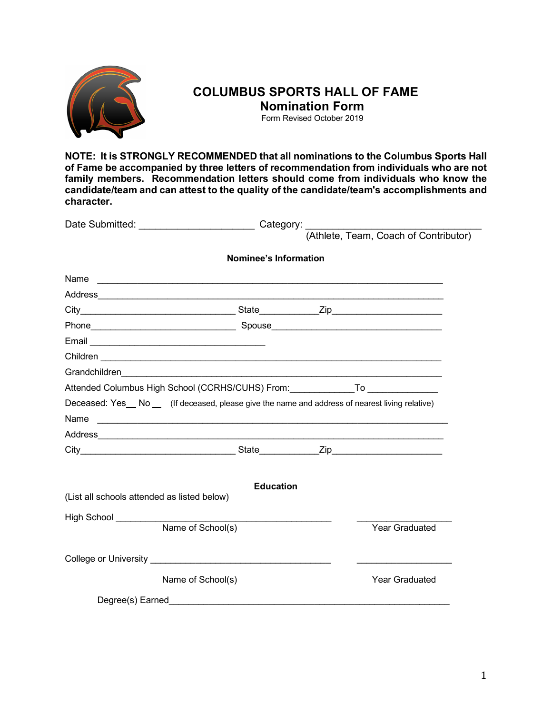

# **COLUMBUS SPORTS HALL OF FAME Nomination Form**

Form Revised October 2019

**NOTE: It is STRONGLY RECOMMENDED that all nominations to the Columbus Sports Hall of Fame be accompanied by three letters of recommendation from individuals who are not family members. Recommendation letters should come from individuals who know the candidate/team and can attest to the quality of the candidate/team's accomplishments and character.**

|                                                                                                                                                                                                                                      |                       | Category: |                                       |  |
|--------------------------------------------------------------------------------------------------------------------------------------------------------------------------------------------------------------------------------------|-----------------------|-----------|---------------------------------------|--|
|                                                                                                                                                                                                                                      |                       |           | (Athlete, Team, Coach of Contributor) |  |
|                                                                                                                                                                                                                                      | Nominee's Information |           |                                       |  |
| Name                                                                                                                                                                                                                                 |                       |           |                                       |  |
|                                                                                                                                                                                                                                      |                       |           |                                       |  |
|                                                                                                                                                                                                                                      |                       |           |                                       |  |
|                                                                                                                                                                                                                                      |                       |           |                                       |  |
| Email                                                                                                                                                                                                                                |                       |           |                                       |  |
| Children <u>experimental control and control and control and control and control and control and control and control and control and control and control and control and control and control and control and control and control</u> |                       |           |                                       |  |
|                                                                                                                                                                                                                                      |                       |           |                                       |  |
| Attended Columbus High School (CCRHS/CUHS) From: To To                                                                                                                                                                               |                       |           |                                       |  |
| Deceased: Yes_No_ (If deceased, please give the name and address of nearest living relative)                                                                                                                                         |                       |           |                                       |  |
| Name                                                                                                                                                                                                                                 |                       |           |                                       |  |
|                                                                                                                                                                                                                                      |                       |           |                                       |  |
|                                                                                                                                                                                                                                      |                       |           |                                       |  |
|                                                                                                                                                                                                                                      |                       |           |                                       |  |
| (List all schools attended as listed below)                                                                                                                                                                                          | <b>Education</b>      |           |                                       |  |
| High School ________                                                                                                                                                                                                                 |                       |           |                                       |  |
| Name of School(s)                                                                                                                                                                                                                    |                       |           | <b>Year Graduated</b>                 |  |
|                                                                                                                                                                                                                                      |                       |           |                                       |  |
| Name of School(s)                                                                                                                                                                                                                    |                       |           | <b>Year Graduated</b>                 |  |
|                                                                                                                                                                                                                                      |                       |           |                                       |  |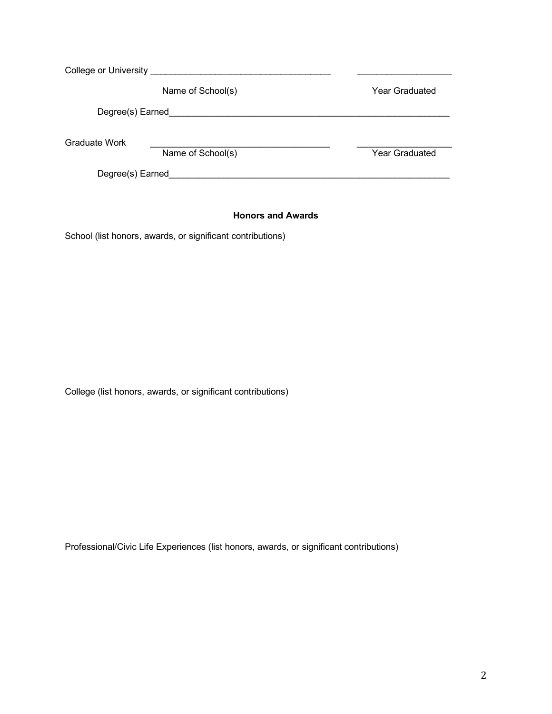| <b>College or University</b> |                   |                |
|------------------------------|-------------------|----------------|
|                              | Name of School(s) | Year Graduated |
| Degree(s) Earned             |                   |                |
| <b>Graduate Work</b>         |                   |                |
| Degree(s) Earned             | Name of School(s) | Year Graduated |

## **Honors and Awards**

School (list honors, awards, or significant contributions)

College (list honors, awards, or significant contributions)

Professional/Civic Life Experiences (list honors, awards, or significant contributions)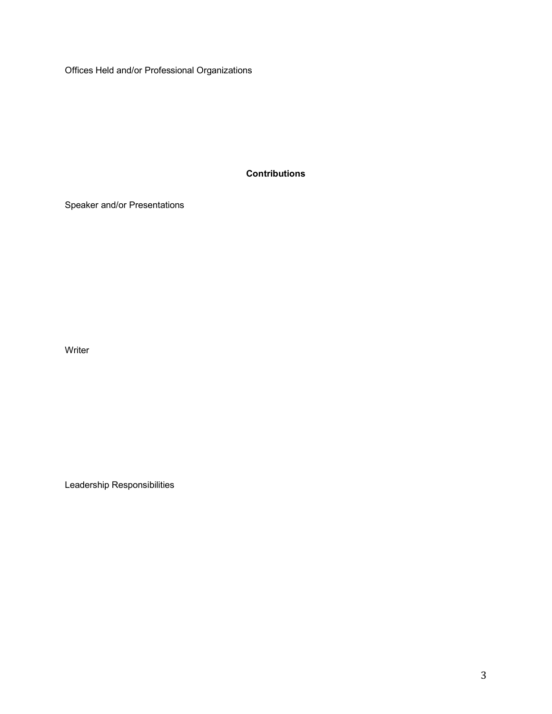Offices Held and/or Professional Organizations

**Contributions**

Speaker and/or Presentations

Writer

Leadership Responsibilities